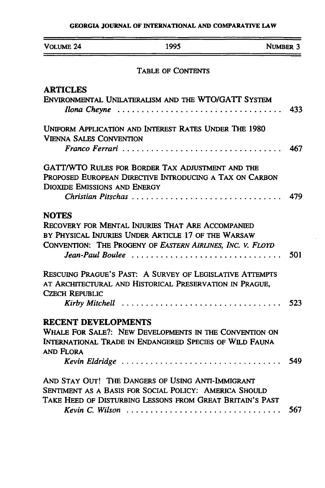# **GEORGIA JOURNAL** OF **INTERNATIONAL AND** COMPARATIVE LAW

| Volume 24                                      | 1995                                                                                                                                                                                       | <b>NUMBER 3</b> |
|------------------------------------------------|--------------------------------------------------------------------------------------------------------------------------------------------------------------------------------------------|-----------------|
|                                                | <b>TABLE OF CONTENTS</b>                                                                                                                                                                   |                 |
| <b>ARTICLES</b>                                | ENVIRONMENTAL UNILATERALISM AND THE WTO/GATT SYSTEM<br>Ilona Cheyne                                                                                                                        | 433             |
| <b>VIENNA SALES CONVENTION</b>                 | UNIFORM APPLICATION AND INTEREST RATES UNDER THE 1980                                                                                                                                      |                 |
|                                                |                                                                                                                                                                                            | 467             |
| <b>DIOXIDE EMISSIONS AND ENERGY</b>            | GATT/WTO RULES FOR BORDER TAX ADJUSTMENT AND THE<br>PROPOSED EUROPEAN DIRECTIVE INTRODUCING A TAX ON CARBON<br>Christian Pitschas                                                          | 479             |
| <b>NOTES</b>                                   | RECOVERY FOR MENTAL INJURIES THAT ARE ACCOMPANIED<br>BY PHYSICAL INJURIES UNDER ARTICLE 17 OF THE WARSAW<br>CONVENTION: THE PROGENY OF EASTERN AIRLINES, INC. V. FLOYD<br>Jean-Paul Boulee | 501             |
| <b>CZECH REPUBLIC</b>                          | RESCUING PRAGUE'S PAST: A SURVEY OF LEGISLATIVE ATTEMPTS<br>AT ARCHITECTURAL AND HISTORICAL PRESERVATION IN PRAGUE,                                                                        |                 |
|                                                | Kirby Mitchell                                                                                                                                                                             | 523             |
| <b>RECENT DEVELOPMENTS</b><br><b>AND FLORA</b> | WHALE FOR SALE?: NEW DEVELOPMENTS IN THE CONVENTION ON<br>INTERNATIONAL TRADE IN ENDANGERED SPECIES OF WILD FAUNA                                                                          |                 |
|                                                | Kevin Eldridge                                                                                                                                                                             | 549             |
|                                                | AND STAY OUT! THE DANGERS OF USING ANTI-IMMIGRANT<br>SENTIMENT AS A BASIS FOR SOCIAL POLICY: AMERICA SHOULD<br>TAKE HEED OF DISTURBING LESSONS FROM GREAT BRITAIN'S PAST                   |                 |
|                                                | Kevin C. Wilson                                                                                                                                                                            | 567             |